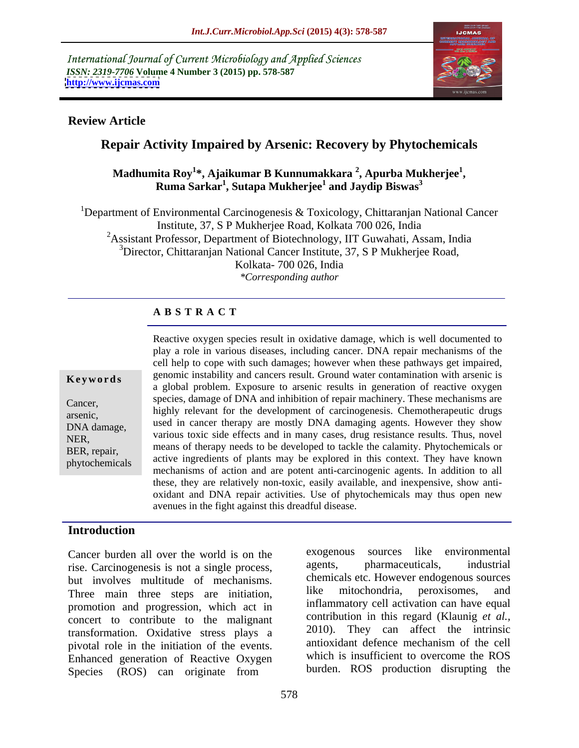International Journal of Current Microbiology and Applied Sciences *ISSN: 2319-7706* **Volume 4 Number 3 (2015) pp. 578-587 <http://www.ijcmas.com>**



## **Review Article**

## **Repair Activity Impaired by Arsenic: Recovery by Phytochemicals**

### **Madhumita Roy<sup>1</sup> \*, Ajaikumar B Kunnumakkara <sup>2</sup> , Apurba Mukherjee<sup>1</sup>** ita Roy<sup>1</sup>\*, Ajaikumar B Kunnumakkara <sup>2</sup>, Apurba Mukherjee<sup>1</sup>,<br>Ruma Sarkar<sup>1</sup>, Sutapa Mukherjee<sup>1</sup> and Jaydip Biswas<sup>3</sup> **and Jaydip Biswas<sup>3</sup>**

<sup>1</sup>Department of Environmental Carcinogenesis & Toxicology, Chittaranjan National Cancer Institute, 37, S P Mukherjee Road, Kolkata 700 026, India <sup>2</sup>Assistant Professor, Department of Biotechnology, IIT Guwahati, Assam, India <sup>3</sup>Director, Chittaranjan National Cancer Institute, 37, S P Mukherjee Road, Kolkata- 700 026, India *\*Corresponding author*

## **A B S T R A C T**

phytochemicals

Reactive oxygen species result in oxidative damage, which is well documented to play a role in various diseases, including cancer. DNA repair mechanisms of the cell help to cope with such damages; however when these pathways get impaired, **Keywords** genomic instability and cancers result. Ground water contamination with arsenic is a global problem. Exposure to arsenic results in generation of reactive oxygen species, damage of DNA and inhibition of repair machinery. These mechanisms are Cancer,<br>
highly relevant for the development of carcinogenesis. Chemotherapeutic drugs<br>
arsenic, Events, used in cancer therapy are mostly DNA damaging agents. However they show DNA damage, various toxic side effects and in many cases, drug resistance results. Thus, novel NER,<br>
means of therapy needs to be developed to tackle the calamity. Phytochemicals or active ingredients of plants may be explored in this context. They have known mechanisms of action and are potent anti-carcinogenic agents. In addition to all these, they are relatively non-toxic, easily available, and inexpensive, show anti oxidant and DNA repair activities. Use of phytochemicals may thus open new avenues in the fight against this dreadful disease. BER, repair, the intervention of the developed to tackle the calamny. Phytochemicals of

## **Introduction**

rise. Carcinogenesis is not a single process, but involves multitude of mechanisms. Chemicals etc. However endogenous sources<br>Three main three steps are initiation like mitochondria, peroxisomes, and Three main three steps are initiation, promotion and progression, which act in concert to contribute to the malignant transformation. Oxidative stress plays a pivotal role in the initiation of the events. Enhanced generation of Reactive Oxygen Species (ROS) can originate from

Cancer burden all over the world is on the exogenous sources like environmental<br>rise Carcinogenesis is not a single process agents, pharmaceuticals, industrial sources like environmental agents, pharmaceuticals, industrial chemicals etc. However endogenous sources like mitochondria, peroxisomes, and inflammatory cell activation can have equal contribution in this regard (Klaunig *et al.,* 2010). They can affect the intrinsic antioxidant defence mechanism of the cell which is insufficient to overcome the ROS burden. ROS production disrupting the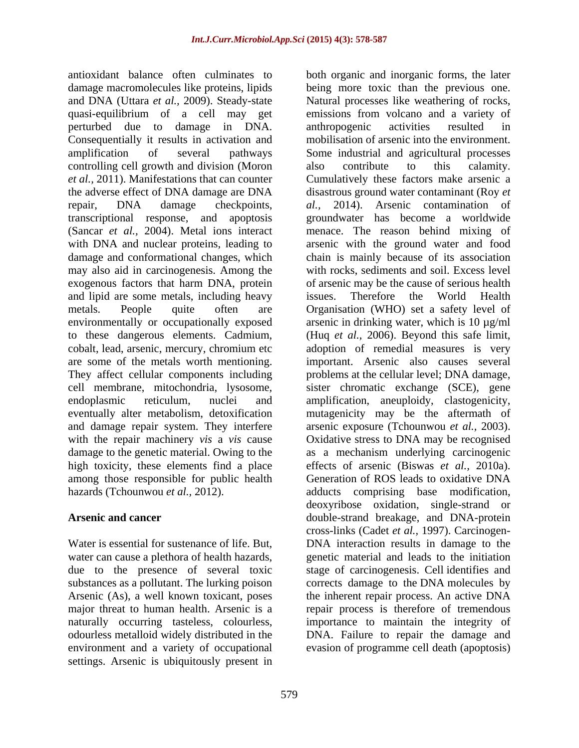antioxidant balance often culminates to both organic and inorganic forms, the later Consequentially it results in activation and controlling cell growth and division (Moron also contribute to this calamity. transcriptional response, and apoptosis and lipid are some metals, including heavy issues. Therefore the World Health high toxicity, these elements find a place among those responsible for public health

settings. Arsenic is ubiquitously present in

damage macromolecules like proteins, lipids being more toxic than the previous one. and DNA (Uttara *et al.,* 2009). Steady-state Natural processes like weathering of rocks, quasi-equilibrium of a cell may get emissions from volcano and a variety of perturbed due to damage in DNA. amplification of several pathways Some industrial and agricultural processes *et al.,* 2011). Manifestations that can counter Cumulatively these factors make arsenic a the adverse effect of DNA damage are DNA disastrous ground water contaminant (Roy *et*  repair, DNA damage checkpoints, al., 2014). Arsenic contamination of (Sancar *et al.,* 2004). Metal ions interact menace. The reason behind mixing of with DNA and nuclear proteins, leading to arsenic with the ground water and food damage and conformational changes, which chain is mainly because of its association may also aid in carcinogenesis. Among the with rocks, sediments and soil. Excess level exogenous factors that harm DNA, protein of arsenic may be the cause of serious health metals. People quite often are Organisation (WHO) set a safety level of environmentally or occupationally exposed arsenic in drinking water, which is 10 µg/ml to these dangerous elements. Cadmium, (Huq *et al.,* 2006). Beyond this safe limit, cobalt, lead, arsenic, mercury, chromium etc adoption of remedial measures is very are some of the metals worth mentioning. important. Arsenic also causes several They affect cellular components including problems at the cellular level; DNA damage, cell membrane, mitochondria, lysosome, sister chromatic exchange (SCE), gene endoplasmic reticulum, nuclei and amplification, aneuploidy, clastogenicity, eventually alter metabolism, detoxification mutagenicity may be the aftermath of and damage repair system. They interfere arsenic exposure (Tchounwou *et al.,* 2003). with the repair machinery *vis* a *vis* cause Oxidative stress to DNA may be recognised damage to the genetic material. Owing to the as a mechanism underlying carcinogenic hazards (Tchounwou *et al.*, 2012). **Accord Adducts** comprising base modification, Arsenic and cancer **double-strand breakage**, and DNA-protein Water is essential for sustenance of life. But, DNA interaction results in damage to the water can cause a plethora of health hazards, genetic material and leads to the initiation due to the presence of several toxic stage of carcinogenesis. Cell identifies and substances as a pollutant. The lurking poison corrects damage to the DNA molecules by Arsenic (As), a well known toxicant, poses the inherent repair process. An active DNA major threat to human health. Arsenic is a straight process is therefore of tremendous naturally occurring tasteless, colourless, importance to maintain the integrity of odourless metalloid widely distributed in the DNA. Failure to repair the damage and environment and a variety of occupational evasion of programme cell death (apoptosis) anthropogenic activities resulted in mobilisation of arsenic into the environment. also contribute to this calamity. *al.,* 2014). Arsenic contamination of groundwater has become a worldwide issues. Therefore the World Health effects of arsenic (Biswas *et al.,* 2010a). Generation of ROS leads to oxidative DNA deoxyribose oxidation, single-strand or cross-links (Cadet *et al.,* 1997). Carcinogen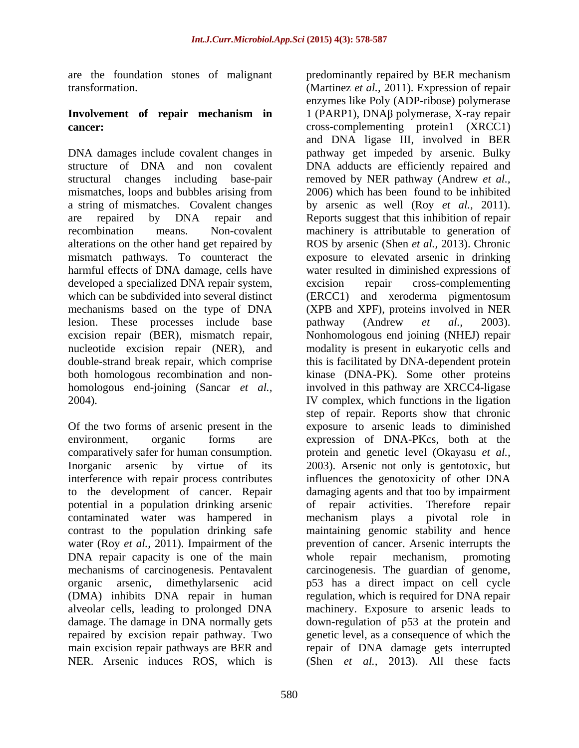are the foundation stones of malignant predominantly repaired by BER mechanism

# **Involvement of repair mechanism in**

mismatches, loops and bubbles arising from harmful effects of DNA damage, cells have developed a specialized DNA repair system, excision repair cross-complementing lesion. These processes include base pathway (Andrew *et al.*, 2003).

Of the two forms of arsenic present in the potential in a population drinking arsenic contaminated water was hampered in water (Roy *et al.,* 2011). Impairment of the DNA repair capacity is one of the main whole repair mechanism, promoting

transformation. (Martinez *et al.,* 2011). Expression of repair **cancer: cross-complementing** protein1 (XRCC1) DNA damages include covalent changes in pathway get impeded by arsenic. Bulky structure of DNA and non covalent DNA adducts are efficiently repaired and structural changes including base-pair removed by NER pathway (Andrew *et al.,* a string of mismatches. Covalent changes by arsenic as well (Roy *et al.,* 2011). are repaired by DNA repair and Reports suggest that this inhibition of repair recombination means. Non-covalent machinery is attributable to generation of alterations on the other hand get repaired by ROS by arsenic (Shen *et al.,* 2013). Chronic mismatch pathways. To counteract the exposure to elevated arsenic in drinking which can be subdivided into several distinct (ERCC1) and xeroderma pigmentosum mechanisms based on the type of DNA (XPB and XPF), proteins involved in NER excision repair (BER), mismatch repair, Nonhomologous end joining (NHEJ) repair nucleotide excision repair (NER), and modality is present in eukaryotic cells and double-strand break repair, which comprise this is facilitated by DNA-dependent protein both homologous recombination and non- kinase (DNA-PK). Some other proteins homologous end-joining (Sancar *et al.,* involved in this pathway are XRCC4-ligase 2004). IV complex, which functions in the ligation environment, organic forms are expression of DNA-PKcs, both at the comparatively safer for human consumption. protein and genetic level (Okayasu *et al.,* Inorganic arsenic by virtue of its 2003). Arsenic not only is gentotoxic, but interference with repair process contributes influences the genotoxicity of other DNA to the development of cancer. Repair damaging agents and that too by impairment contrast to the population drinking safe maintaining genomic stability and hence mechanisms of carcinogenesis. Pentavalent carcinogenesis. The guardian of genome, organic arsenic, dimethylarsenic acid p53 has a direct impact on cell cycle (DMA) inhibits DNA repair in human regulation, which is required for DNA repair alveolar cells, leading to prolonged DNA machinery. Exposure to arsenic leads to damage. The damage in DNA normally gets down-regulation of p53 at the protein and repaired by excision repair pathway. Two genetic level, asa consequence of which the main excision repair pathways are BER and repair of DNA damage gets interrupted NER. Arsenic induces ROS, which is (Shen *et al.,* 2013). All these factsenzymes like Poly (ADP-ribose) polymerase  $1$  (PARP1), DNA $\beta$  polymerase, X-ray repair and DNA ligase III, involved in BER 2006) which has been found to be inhibited water resulted in diminished expressions of excision repair cross-complementing pathway (Andrew *et al.,* 2003). step of repair. Reports show that chronic exposure to arsenic leads to diminished of repair activities. Therefore repair mechanism plays a pivotal role prevention of cancer. Arsenic interrupts the whole repair mechanism, promoting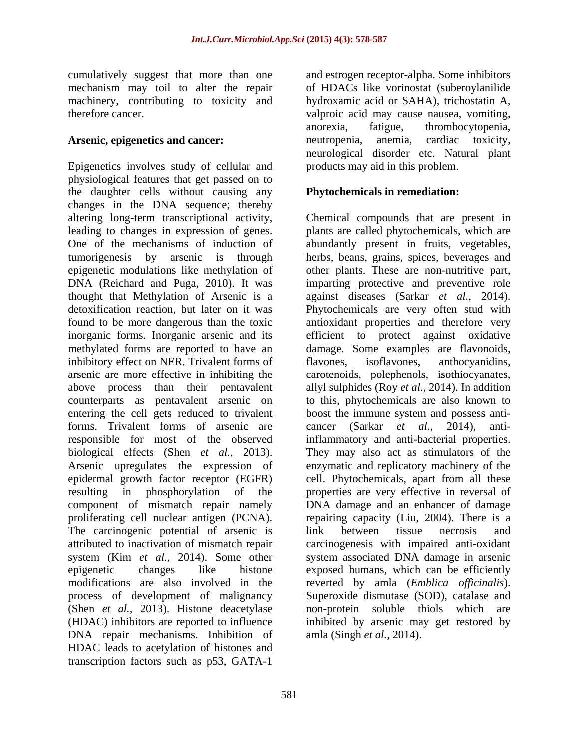cumulatively suggest that more than one mechanism may toil to alter the repair machinery, contributing to toxicity and hydroxamic acid or SAHA), trichostatin A,

Epigenetics involves study of cellular and physiological features that get passed on to the daughter cells without causing any changes in the DNA sequence; thereby altering long-term transcriptional activity, Chemical compounds that are present in leading to changes in expression of genes. plants are called phytochemicals, which are One of the mechanisms of induction of abundantly present in fruits, vegetables, tumorigenesis by arsenic is through herbs, beans, grains, spices, beverages and epigenetic modulations like methylation of other plants. These are non-nutritive part, DNA (Reichard and Puga, 2010). It was imparting protective and preventive role thought that Methylation of Arsenic is a against diseases (Sarkar *et al.*, 2014). detoxification reaction, but later on it was Phytochemicals are very often stud with found to be more dangerous than the toxic antioxidant properties and therefore very inorganic forms. Inorganic arsenic and its efficient to protect against oxidative methylated forms are reported to have an damage. Some examples are flavonoids, inhibitory effect on NER. Trivalent forms of flavones, isoflavones, anthocyanidins, arsenic are more effective in inhibiting the carotenoids, polephenols, isothiocyanates, above process than their pentavalent allyl sulphides (Roy *et al.,* 2014). In addition counterparts as pentavalent arsenic on to this, phytochemicals are also known to entering the cell gets reduced to trivalent boost the immune system and possess antiforms. Trivalent forms of arsenic are cancer (Sarkar et al., 2014), antiresponsible for most of the observed inflammatory and anti-bacterial properties. biological effects (Shen *et al.,* 2013). Arsenic upregulates the expression of enzymatic and replicatory machinery of the epidermal growth factor receptor (EGFR) cell. Phytochemicals, apart from all these resulting in phosphorylation of the properties are very effective in reversal of component of mismatch repair namely DNA damage and an enhancer of damage proliferating cell nuclear antigen (PCNA). repairing capacity (Liu, 2004). There is a The carcinogenic potential of arsenic is link between tissue necrosis and attributed to inactivation of mismatch repair carcinogenesis with impaired anti-oxidant system (Kim *et al.,* 2014). Some other system associated DNA damage in arsenic epigenetic changes like histone exposed humans, which can be efficiently modifications are also involved in the reverted by amla (*Emblica officinalis*). process of development of malignancy (Shen *et al.*, 2013). Histone deacetylase non-protein soluble thiols which are (HDAC) inhibitors are reported to influence inhibited by arsenic may get restored by DNA repair mechanisms. Inhibition of HDAC leads to acetylation of histones and transcription factors such as p53, GATA-1

therefore cancer. valproic acid may cause nausea, vomiting, Arsenic, epigenetics and cancer: neutropenia, anemia, cardiac toxicity, and estrogen receptor-alpha. Some inhibitors of HDACs like vorinostat (suberoylanilide anorexia, fatigue, thrombocytopenia, neutropenia, anemia, cardiac toxicity, neurological disorder etc. Natural plant products may aid in this problem.

## **Phytochemicals in remediation:**

against diseases (Sarkar *et al.,* 2014). Phytochemicals are very often stud with flavones, isoflavones, anthocyanidins, boost the immune system and possess anti cancer (Sarkar *et al.*, inflammatory and anti-bacterial properties.They may also act as stimulators of the link between tissue necrosis and Superoxide dismutase (SOD), catalase and non-protein soluble thiols which amla (Singh *et al.,* 2014).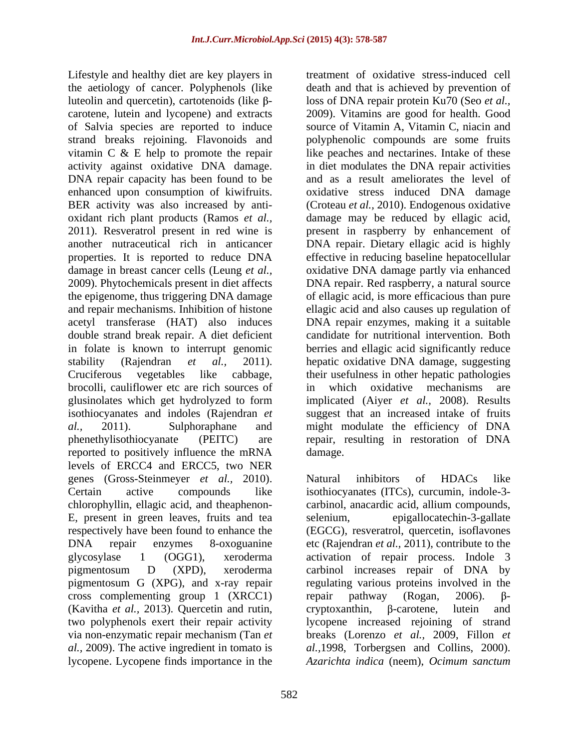Lifestyle and healthy diet are key players in the aetiology of cancer. Polyphenols (like luteolin and quercetin), cartotenoids (like β-<br>loss of DNA repair protein Ku70 (Seo *et al.*, carotene, lutein and lycopene) and extracts 2009). Vitamins are good for health. Good of Salvia species are reported to induce source of Vitamin A, Vitamin C, niacin and strand breaks rejoining. Flavonoids and vitamin C & E help to promote the repair like peaches and nectarines. Intake of these activity against oxidative DNA damage. in diet modulates the DNA repair activities DNA repair capacity has been found to be enhanced upon consumption of kiwifruits. BER activity was also increased by anti- (Croteau *et al.,* 2010). Endogenous oxidative oxidant rich plant products (Ramos *et al.,* damage may be reduced by ellagic acid, 2011). Resveratrol present in red wine is present in raspberry by enhancement of another nutraceutical rich in anticancer DNA repair. Dietary ellagic acid is highly properties. It is reported to reduce DNA effective in reducing baseline hepatocellular damage in breast cancer cells (Leung *et al.,* oxidative DNA damage partly via enhanced 2009). Phytochemicals present in diet affects DNA repair. Red raspberry, a natural source the epigenome, thus triggering DNA damage of ellagic acid, is more efficacious than pure and repair mechanisms. Inhibition of histone ellagic acid and also causes up regulation of acetyl transferase (HAT) also induces DNA repair enzymes, making it a suitable double strand break repair. A diet deficient in folate is known to interrupt genomic berries and ellagic acid significantly reduce stability (Rajendran *et al.*, 2011). hepatic\_oxidative\_DNA\_damage,\_suggesting<br>Cruciferous vegetables like cabbage, their\_usefulness\_in\_other\_hepatic\_pathologies brocolli, cauliflower etc are rich sources of in which oxidative mechanisms are glusinolates which get hydrolyzed to form implicated (Aiyer *et al.,* 2008). Results isothiocyanates and indoles (Rajendran *et*  suggest that an increased intake of fruits *al.,* 2011). Sulphoraphane and might modulate the efficiency of DNA phenethylisothiocyanate (PEITC) are repair, resulting in restoration of DNA reported to positively influence the mRNA levels of ERCC4 and ERCC5, two NER genes (Gross-Steinmeyer *et al.,* 2010). Certain active compounds like isothiocyanates (ITCs), curcumin, indole-3 chlorophyllin, ellagic acid, and theaphenon- carbinol, anacardic acid, allium compounds, E, present in green leaves, fruits and tea respectively have been found to enhance the (EGCG), resveratrol, quercetin, isoflavones DNA repair enzymes 8-oxoguanine etc (Rajendran *et al.,* 2011), contribute to the glycosylase 1 (OGG1), xeroderma activation of repair process. Indole 3 pigmentosum D (XPD), xeroderma carbinol increases repair of DNA by pigmentosum G (XPG), and x-ray repair regulating various proteins involved in the cross complementing group 1  $(XRCC1)$  repair pathway (Rogan, 2006).  $\beta$ -(Kavitha *et al.,* 2013). Quercetin and rutin, two polyphenols exert their repair activity lycopene increased rejoining of strand via non-enzymatic repair mechanism (Tan *et*  breaks (Lorenzo *etal.,* 2009, Fillon *et al.,* 2009). The active ingredient in tomato is *al.,*1998, Torbergsen and Collins, 2000). lycopene. Lycopene finds importance in the *Azarichta indica* (neem), *Ocimum sanctum* 

treatment of oxidative stress-induced cell death and that is achieved by prevention of polyphenolic compounds are some fruits and as a result ameliorates the level of oxidative stress induced DNA damage candidate for nutritional intervention. Both hepatic oxidative DNA damage, suggesting their usefulness in other hepatic pathologies in which oxidative mechanisms are damage. **Example 20** and the set of the set of the set of the set of the set of the set of the set of the set of the set of the set of the set of the set of the set of the set of the set of the set of the set of the set of

Natural inhibitors of HDACs like epigallocatechin-3-gallate  $r$ epair pathway (Rogan, 2006).  $\beta$  $c$ ryptoxanthin,  $\beta$ -carotene, lutein and *Azarichta indica* (neem), *Ocimum sanctum*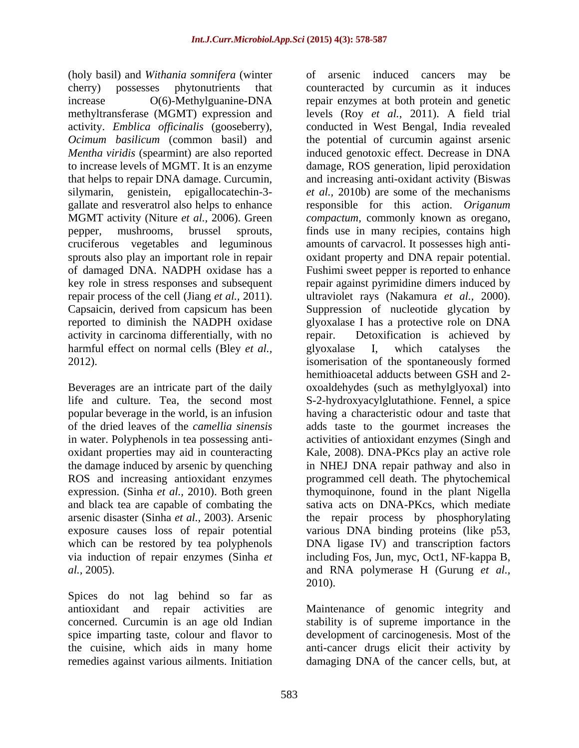(holy basil) and *Withania somnifera* (winter cruciferous vegetables and leguminous activity in carcinoma differentially, with no harmful effect on normal cells (Bley *et al.*, glyoxalase I, which catalyses the

Beverages are an intricate part of the daily popular beverage in the world, is an infusion in water. Polyphenols in tea possessing anti expression. (Sinha *et al.,* 2010). Both green and black tea are capable of combating the which can be restored by tea polyphenols

Spices do not lag behind so far as antioxidant and repair activities are Maintenance of genomic integrity and concerned. Curcumin is an age old Indian stability is of supreme importance in the spice imparting taste, colour and flavor to development of carcinogenesis. Most of the the cuisine, which aids in many home anti-cancer drugs elicit their activity by remedies against various ailments. Initiation damaging DNA of the cancer cells, but, at

cherry) possesses phytonutrients that counteracted by curcumin as it induces increase O(6)-Methylguanine-DNA repair enzymes at both protein and genetic methyltransferase (MGMT) expression and levels (Roy *et al.,* 2011). A field trial activity. *Emblica officinalis* (gooseberry), conducted in West Bengal, India revealed *Ocimum basilicum* (common basil) and the potential of curcumin against arsenic *Mentha viridis* (spearmint) are also reported induced genotoxic effect. Decrease in DNA to increase levels of MGMT. It is an enzyme damage, ROS generation, lipid peroxidation that helps to repair DNA damage. Curcumin, and increasing anti-oxidant activity (Biswas silymarin, genistein, epigallocatechin-3- *et al.,* 2010b) are some of the mechanisms gallate and resveratrol also helps to enhance responsible for this action. *Origanum*  MGMT activity (Niture *et al.,* 2006). Green *compactum*, commonly known as oregano, pepper, mushrooms, brussel sprouts, finds use in many recipies, contains high sprouts also play an important role in repair oxidant property and DNA repair potential. of damaged DNA. NADPH oxidase has a Fushimi sweet pepper is reported to enhance key role in stress responses and subsequent repair against pyrimidine dimers induced by repair process of the cell (Jiang *et al.,* 2011). ultraviolet rays (Nakamura *et al.,* 2000). Capsaicin, derived from capsicum has been Suppression of nucleotide glycation by reported to diminish the NADPH oxidase glyoxalase I has a protective role on DNA 2012). isomerisation of the spontaneously formed life and culture. Tea, the second most S-2-hydroxyacylglutathione. Fennel, a spice of the dried leaves of the *camellia sinensis* adds taste to the gourmet increases the oxidant properties may aid in counteracting Kale, 2008). DNA-PKcs play an active role the damage induced by arsenic by quenching in NHEJ DNA repair pathway and also in ROS and increasing antioxidant enzymes programmed cell death. The phytochemical arsenic disaster (Sinha *et al.,* 2003). Arsenic the repair process by phosphorylating exposure causes loss of repair potential various DNA binding proteins (like p53, via induction of repair enzymes (Sinha *et*  including Fos, Jun, myc, Oct1, NF-kappa B, *al.,* 2005). and RNA polymerase H (Gurung *et al.,* of arsenic induced cancers may be amounts of carvacrol. It possesses high anti- Detoxification is achieved by glyoxalase I, which catalyses the hemithioacetal adducts between GSH and 2 oxoaldehydes (such as methylglyoxal) into having a characteristic odour and taste that activities of antioxidant enzymes (Singh and thymoquinone, found in the plant Nigella sativa acts on DNA-PKcs, which mediate DNA ligase IV) and transcription factors 2010).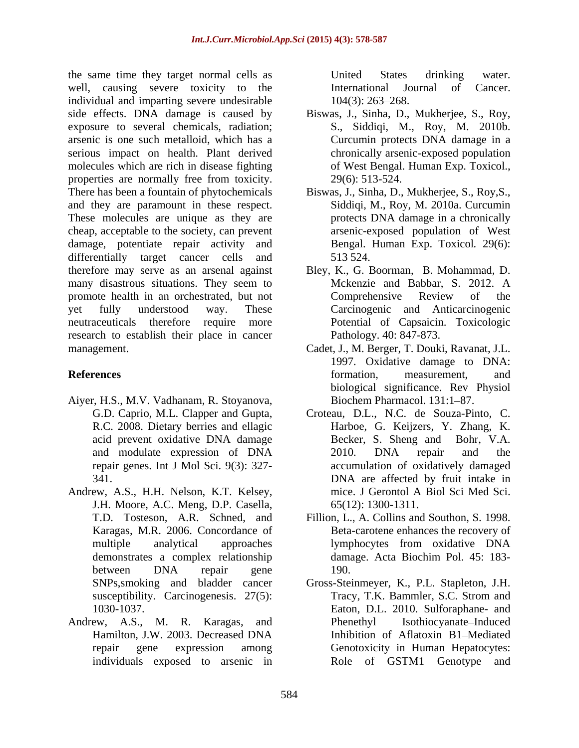the same time they target normal cells as **EXEC States** United States drinking water. well, causing severe toxicity to the **International** Journal of Cancer. individual and imparting severe undesirable  $104(3)$ : 263–268. side effects. DNA damage is caused by Biswas, J., Sinha, D., Mukherjee, S., Roy, exposure to several chemicals, radiation; arsenic is one such metalloid, which has a Curcumin protects DNA damage in a serious impact on health. Plant derived molecules which are rich in disease fighting properties are normally free from toxicity. There has been a fountain of phytochemicals Biswas, J., Sinha, D., Mukherjee, S., Roy,S., and they are paramount in these respect. These molecules are unique as they are cheap, acceptable to the society, can prevent damage, potentiate repair activity and differentially target cancer cells and 513 524. therefore may serve as an arsenal against Bley, K., G. Boorman, B. Mohammad, D. many disastrous situations. They seem to Mckenzie and Babbar, S. 2012. A promote health in an orchestrated, but not Comprehensive Review of the yet fully understood way. These Carcinogenic and Anticarcinogenic neutraceuticals therefore require more Potential of Capsaicin. Toxicologic research to establish their place in cancer management. Cadet, J., M. Berger, T. Douki, Ravanat, J.L.

- Aiyer, H.S., M.V. Vadhanam, R. Stoyanova,
- Andrew, A.S., H.H. Nelson, K.T. Kelsey, J.H. Moore, A.C. Meng, D.P. Casella, Karagas, M.R. 2006. Concordance of
- Andrew, A.S., M. R. Karagas, and

United States drinking water. International Journal of Cancer.  $104(3)$ : 263–268.

- S., Siddiqi, M., Roy, M. 2010b. chronically arsenic-exposed population of West Bengal. Human Exp. Toxicol., 29(6): 513-524.
- Siddiqi, M., Roy, M. 2010a. Curcumin protects DNA damage in a chronically arsenic-exposed population of West Bengal. Human Exp. Toxicol*.* 29(6): 513 524.
- Mckenzie and Babbar, S. 2012. A Comprehensive Review of the Pathology. 40: 847-873.
- **References** and **References** and **References** *References References References References References References References References References References References Referenc* 1997. Oxidative damage to DNA: formation, measurement, and biological significance. Rev Physiol Biochem Pharmacol. 131:1-87.
	- G.D. Caprio, M.L. Clapper and Gupta, Croteau, D.L., N.C. de Souza-Pinto, C. R.C. 2008. Dietary berries and ellagic Harboe, G. Keijzers, Y. Zhang, K. acid prevent oxidative DNA damage Becker, S. Sheng and Bohr, V.A. and modulate expression of DNA repair genes. Int J Mol Sci. 9(3): 327- accumulation of oxidatively damaged 341. DNA are affected by fruit intake in Becker, S. Sheng and Bohr, V.A. 2010. DNA repair and the mice. J Gerontol A Biol Sci Med Sci. 65(12): 1300-1311.
	- T.D. Tosteson, A.R. Schned, and Fillion, L., A. Collins and Southon, S. 1998. multiple analytical approaches lymphocytes from oxidative DNA demonstrates a complex relationship between DNA repair gene Beta-carotene enhances the recovery of lymphocytes from oxidative DNA damage. Acta Biochim Pol. 45:183- 190.
	- SNPs, smoking and bladder cancer Gross-Steinmeyer, K., P.L. Stapleton, J.H. susceptibility. Carcinogenesis. 27(5): Tracy, T.K. Bammler, S.C. Strom and 1030-1037. Eaton, D.L. 2010. Sulforaphane- and Hamilton, J.W. 2003. Decreased DNA repair gene expression among Genotoxicity in Human Hepatocytes: individuals exposed to arsenic in Role of GSTM1 Genotype andTracy, T.K. Bammler, S.C. Strom and Isothiocyanate-Induced Inhibition of Aflatoxin B1-Mediated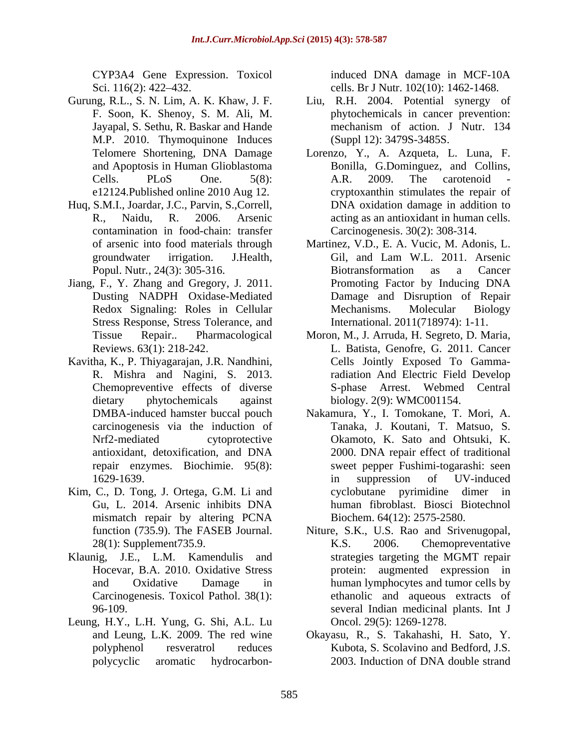CYP3A4 Gene Expression. Toxicol induced DNA damage in MCF-10A Sci. 116(2): 422–432. cells. Br J Nutr. 102(10): 1462-1468.

- M.P. 2010. Thymoquinone Induces
- Huq, S.M.I., Joardar, J.C., Parvin, S.,Correll, contamination in food-chain: transfer
- Jiang, F., Y. Zhang and Gregory, J. 2011. Stress Response, Stress Tolerance, and
- Kavitha, K., P. Thiyagarajan, J.R. Nandhini,
- Kim, C., D. Tong, J. Ortega, G.M. Li and mismatch repair by altering PCNA
- 
- Leung, H.Y., L.H. Yung, G. Shi, A.L. Lu

- Gurung, R.L., S. N. Lim, A. K. Khaw, J. F. Liu, R.H. 2004. Potential synergy of F. Soon, K. Shenoy, S. M. Ali, M. phytochemicals in cancer prevention: Jayapal, S. Sethu, R. Baskar and Hande mechanism of action. J Nutr. 134 (Suppl 12): 3479S-3485S.
	- Telomere Shortening, DNA Damage Lorenzo, Y., A. Azqueta, L. Luna, F. and Apoptosis in Human Glioblastoma Bonilla, G.Dominguez, and Collins, Cells. PLoS One. 5(8): A.R. 2009. The carotenoid e12124.Published online 2010 Aug 12. cryptoxanthin stimulates the repair of R., Naidu, R. 2006. Arsenic acting as an antioxidant in human cells. A.R. 2009. The carotenoid - DNA oxidation damage in addition to Carcinogenesis. 30(2): 308-314.
	- of arsenic into food materials through Martinez, V.D., E. A. Vucic, M. Adonis, L. groundwater irrigation. J.Health, Popul. Nutr., 24(3): 305-316. Biotransformation as a Cancer Dusting NADPH Oxidase-Mediated Damage and Disruption of Repair Redox Signaling: Roles in Cellular Mechanisms. Molecular Biology Gil, and Lam W.L. 2011. Arsenic Biotransformation as a Cancer Promoting Factor by Inducing DNA Mechanisms. Molecular Biology International. 2011(718974): 1-11.
	- Tissue Repair.. Pharmacological Moron, M., J. Arruda, H. Segreto, D. Maria, Reviews. 63(1): 218-242. L. Batista, Genofre, G. 2011. Cancer R. Mishra and Nagini, S. 2013. radiation And Electric Field Develop Chemopreventive effects of diverse S-phase Arrest. Webmed Central dietary phytochemicals against biology. 2(9): WMC001154. Cells Jointly Exposed To Gamma-
	- DMBA-induced hamster buccal pouch Makamura, Y., I. Tomokane, T. Mori, A. Carcinogenesis via the induction of Tanaka, J. Koutani, T. Matsuo, S. carcinogenesis via the induction of Nrf2-mediated cytoprotective Okamoto, K. Sato and Ohtsuki, K. antioxidant, detoxification, and DNA repair enzymes. Biochimie. 95(8): sweet pepper Fushimi-togarashi: seen 1629-1639. **In** suppression of UV-induced Gu, L. 2014. Arsenic inhibits DNA 2000. DNA repair effect of traditional in suppression of UV-induced cyclobutane pyrimidine dimer human fibroblast. Biosci Biotechnol Biochem. 64(12): 2575-2580.
- function (735.9). The FASEB Journal. Niture, S.K., U.S. Rao and Srivenugopal, 28(1): Supplement735.9. Klaunig, J.E., L.M. Kamendulis and strategies targeting the MGMT repair Hocevar, B.A. 2010. Oxidative Stress protein: augmented expression in and Oxidative Damage in human lymphocytes and tumor cells by Carcinogenesis. Toxicol Pathol. 38(1): ethanolic and aqueous extracts of 96-109. several Indian medicinal plants. Int J K.S. 2006. Chemopreventative Oncol. 29(5): 1269-1278.
	- and Leung, L.K. 2009. The red wine Okayasu, R., S. Takahashi, H. Sato, Y. polyphenol resveratrol reduces Kubota, S. Scolavino and Bedford, J.S. polycyclic aromatic hydrocarbon-2003. Induction of DNA double strand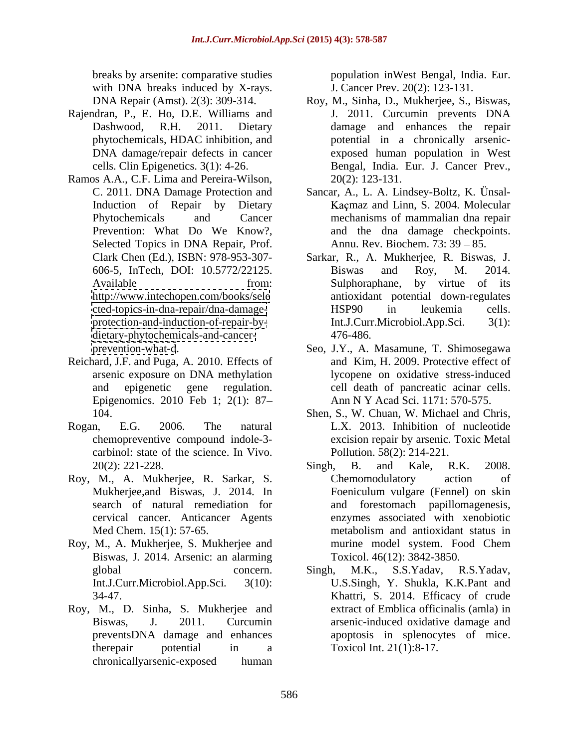with DNA breaks induced by X-rays.

- Rajendran, P., E. Ho, D.E. Williams and J. 2011. Curcumin prevents DNA phytochemicals, HDAC inhibition, and
- Ramos A.A., C.F. Lima and Pereira-Wilson, Selected Topics in DNA Repair, Prof. <dietary-phytochemicals-and-cancer-><br>476-486.
- Reichard, J.F. and Puga, A. 2010. Effects of Epigenomics. 2010 Feb 1; 2(1): 87
- carbinol: state of the science. In Vivo.
- Roy, M., A. Mukherjee, R. Sarkar, S.
- Roy, M., A. Mukherjee, S. Mukherjee and Biswas, J. 2014. Arsenic: an alarming
- Roy, M., D. Sinha, S. Mukherjee and chronicallyarsenic-exposed human

breaks by arsenite: comparative studies population inWest Bengal, India. Eur. J. Cancer Prev. 20(2): 123-131.

- DNA Repair (Amst). 2(3): 309-314. Roy, M., Sinha, D., Mukherjee, S., Biswas, Dashwood, R.H. 2011. Dietary damage and enhances the repair DNA damage/repair defects in cancer exposed human population in West cells. Clin Epigenetics. 3(1): 4-26. Bengal, India. Eur. J. Cancer Prev., J. 2011. Curcumin prevents DNA potential in a chronically arsenic- 20(2): 123-131.
- C. 2011. DNA Damage Protection and Sancar, A., L. A. Lindsey-Boltz, K. Ünsal-Induction of Repair by Dietary Maçmaz and Linn, S. 2004. Molecular Phytochemicals and Cancer mechanisms of mammalian dna repair Prevention: What Do We Know?, and the dna damage checkpoints. Annu. Rev. Biochem.  $73:39-85$ .
- Clark Chen (Ed.), ISBN: 978-953-307- Sarkar, R., A. Mukherjee, R. Biswas, J. 606-5, InTech, DOI: 10.5772/22125. Available **From:** Sulphoraphane, by virtue of its <http://www.intechopen.com/books/sele> antioxidant potential down-regulates [cted-topics-in-dna-repair/dna-damage](cted-topics-in-dna-repair/dna-damage-) <protection-and-induction-of-repair-by-><br>Int.J.Curr.Microbiol.App.Sci. 3(1): Biswas and Roy, M. 2014. Sulphoraphane, by virtue of its HSP90 in leukemia cells. Int.J.Curr.Microbiol.App.Sci. 476-486.
- <prevention-what-d>. Seo, J.Y., A. Masamune, T. Shimosegawa arsenic exposure on DNA methylation lycopene on oxidative stress-induced and epigenetic gene regulation. cell death of pancreatic acinar cells. and Kim, H. 2009. Protective effect of Ann N Y Acad Sci. 1171: 570-575.
- 104. Shen, S., W. Chuan, W. Michael and Chris, Rogan, E.G. 2006. The natural L.X. 2013. Inhibition of nucleotide chemopreventive compound indole-3- excision repair by arsenic. Toxic Metal Pollution. 58(2): 214-221.
	- 20(2): 221-228. Singh, B. and Kale, R.K. 2008. Mukherjee,and Biswas, J. 2014. In Foeniculum vulgare (Fennel) on skin search of natural remediation for and forestomach papillomagenesis, cervical cancer. Anticancer Agents enzymes associated with xenobiotic Med Chem. 15(1): 57-65. metabolism and antioxidant status in Singh, B. and Kale, R.K. 2008. Chemomodulatory action of metabolism and antioxidant status in murine model system. Food Chem Toxicol. 46(12): 3842-3850.
	- global concern. Singh, M.K., S.S.Yadav, R.S.Yadav, Int.J.Curr.Microbiol.App.Sci*.* 3(10): U.S.Singh, Y. Shukla, K.K.Pant and 34-47. Khattri, S. 2014. Efficacy of crude Biswas, J. 2011. Curcumin arsenic-induced oxidative damage and preventsDNA damage and enhances apoptosis in splenocytes of mice. therepair potential in a Toxicol Int. 21(1):8-17. Singh, M.K., S.S.Yadav, R.S.Yadav, extract of Emblica officinalis (amla) in Toxicol Int. 21(1):8-17.